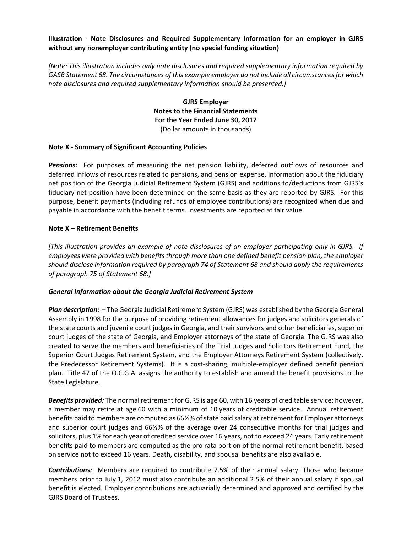## **Illustration ‐ Note Disclosures and Required Supplementary Information for an employer in GJRS without any nonemployer contributing entity (no special funding situation)**

*[Note: This illustration includes only note disclosures and required supplementary information required by GASB Statement 68. The circumstances of this example employer do not include all circumstancesfor which note disclosures and required supplementary information should be presented.]*

> **GJRS Employer Notes to the Financial Statements For the Year Ended June 30, 2017** (Dollar amounts in thousands)

### **Note X ‐ Summary of Significant Accounting Policies**

**Pensions:** For purposes of measuring the net pension liability, deferred outflows of resources and deferred inflows of resources related to pensions, and pension expense, information about the fiduciary net position of the Georgia Judicial Retirement System (GJRS) and additions to/deductions from GJRS's fiduciary net position have been determined on the same basis as they are reported by GJRS. For this purpose, benefit payments (including refunds of employee contributions) are recognized when due and payable in accordance with the benefit terms. Investments are reported at fair value.

### **Note X – Retirement Benefits**

*[This illustration provides an example of note disclosures of an employer participating only in GJRS. If employees were provided with benefits through more than one defined benefit pension plan, the employer should disclose information required by paragraph 74 of Statement 68 and should apply the requirements of paragraph 75 of Statement 68.]*

#### *General Information about the Georgia Judicial Retirement System*

**Plan description:** - The Georgia Judicial Retirement System (GJRS) was established by the Georgia General Assembly in 1998 for the purpose of providing retirement allowances for judges and solicitors generals of the state courts and juvenile court judges in Georgia, and their survivors and other beneficiaries, superior court judges of the state of Georgia, and Employer attorneys of the state of Georgia. The GJRS was also created to serve the members and beneficiaries of the Trial Judges and Solicitors Retirement Fund, the Superior Court Judges Retirement System, and the Employer Attorneys Retirement System (collectively, the Predecessor Retirement Systems). It is a cost‐sharing, multiple‐employer defined benefit pension plan. Title 47 of the O.C.G.A. assigns the authority to establish and amend the benefit provisions to the State Legislature.

*Benefits provided:* The normal retirement for GJRS is age 60, with 16 years of creditable service; however, a member may retire at age 60 with a minimum of 10 years of creditable service. Annual retirement benefits paid to members are computed as 66⅔% of state paid salary at retirement for Employer attorneys and superior court judges and 66⅔% of the average over 24 consecutive months for trial judges and solicitors, plus 1% for each year of credited service over 16 years, not to exceed 24 years. Early retirement benefits paid to members are computed as the pro rata portion of the normal retirement benefit, based on service not to exceed 16 years. Death, disability, and spousal benefits are also available.

**Contributions:** Members are required to contribute 7.5% of their annual salary. Those who became members prior to July 1, 2012 must also contribute an additional 2.5% of their annual salary if spousal benefit is elected. Employer contributions are actuarially determined and approved and certified by the GJRS Board of Trustees.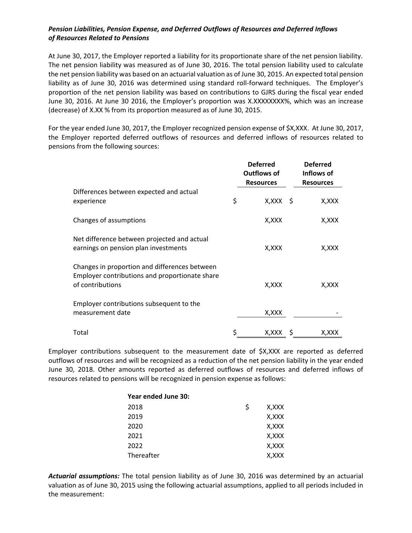# *Pension Liabilities, Pension Expense, and Deferred Outflows of Resources and Deferred Inflows of Resources Related to Pensions*

At June 30, 2017, the Employer reported a liability for its proportionate share of the net pension liability. The net pension liability was measured as of June 30, 2016. The total pension liability used to calculate the net pension liability was based on an actuarial valuation as of June 30, 2015. An expected total pension liability as of June 30, 2016 was determined using standard roll-forward techniques. The Employer's proportion of the net pension liability was based on contributions to GJRS during the fiscal year ended June 30, 2016. At June 30 2016, the Employer's proportion was X.XXXXXXXX%, which was an increase (decrease) of X.XX % from its proportion measured as of June 30, 2015.

For the year ended June 30, 2017, the Employer recognized pension expense of \$X,XXX. At June 30, 2017, the Employer reported deferred outflows of resources and deferred inflows of resources related to pensions from the following sources:

|                                                                                                                     | <b>Deferred</b><br>Outflows of<br><b>Resources</b> | <b>Deferred</b><br>Inflows of<br><b>Resources</b> |
|---------------------------------------------------------------------------------------------------------------------|----------------------------------------------------|---------------------------------------------------|
| Differences between expected and actual<br>experience                                                               | \$<br>X,XXX \$                                     | X,XXX                                             |
| Changes of assumptions                                                                                              | X,XXX                                              | X,XXX                                             |
| Net difference between projected and actual<br>earnings on pension plan investments                                 | X,XXX                                              | X, XXX                                            |
| Changes in proportion and differences between<br>Employer contributions and proportionate share<br>of contributions | X,XXX                                              | X,XXX                                             |
| Employer contributions subsequent to the<br>measurement date                                                        | X, XXX                                             |                                                   |
| Total                                                                                                               | \$<br>X,XXX \$                                     | X,XXX                                             |

Employer contributions subsequent to the measurement date of \$X,XXX are reported as deferred outflows of resources and will be recognized as a reduction of the net pension liability in the year ended June 30, 2018. Other amounts reported as deferred outflows of resources and deferred inflows of resources related to pensions will be recognized in pension expense as follows:

| Year ended June 30: |   |       |
|---------------------|---|-------|
| 2018                | S | X,XXX |
| 2019                |   | X,XXX |
| 2020                |   | X,XXX |
| 2021                |   | X,XXX |
| 2022                |   | X,XXX |
| Thereafter          |   | X,XXX |

*Actuarial assumptions:* The total pension liability as of June 30, 2016 was determined by an actuarial valuation as of June 30, 2015 using the following actuarial assumptions, applied to all periods included in the measurement: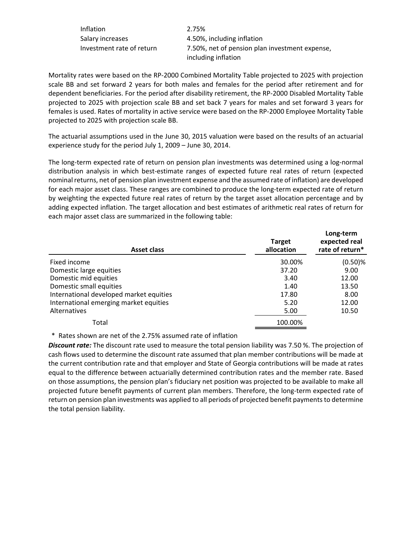| Inflation                 | 2.75%                                                                 |
|---------------------------|-----------------------------------------------------------------------|
| Salary increases          | 4.50%, including inflation                                            |
| Investment rate of return | 7.50%, net of pension plan investment expense,<br>including inflation |
|                           |                                                                       |

Mortality rates were based on the RP‐2000 Combined Mortality Table projected to 2025 with projection scale BB and set forward 2 years for both males and females for the period after retirement and for dependent beneficiaries. For the period after disability retirement, the RP‐2000 Disabled Mortality Table projected to 2025 with projection scale BB and set back 7 years for males and set forward 3 years for females is used. Rates of mortality in active service were based on the RP‐2000 Employee Mortality Table projected to 2025 with projection scale BB.

The actuarial assumptions used in the June 30, 2015 valuation were based on the results of an actuarial experience study for the period July 1, 2009 – June 30, 2014.

The long‐term expected rate of return on pension plan investments was determined using a log‐normal distribution analysis in which best‐estimate ranges of expected future real rates of return (expected nominal returns, net of pension plan investment expense and the assumed rate of inflation) are developed for each major asset class. These ranges are combined to produce the long-term expected rate of return by weighting the expected future real rates of return by the target asset allocation percentage and by adding expected inflation. The target allocation and best estimates of arithmetic real rates of return for each major asset class are summarized in the following table:

| <b>Asset class</b>                      | <b>Target</b><br>allocation | Long-term<br>expected real<br>rate of return* |
|-----------------------------------------|-----------------------------|-----------------------------------------------|
| Fixed income                            | 30.00%                      | $(0.50)$ %                                    |
| Domestic large equities                 | 37.20                       | 9.00                                          |
| Domestic mid equities                   | 3.40                        | 12.00                                         |
| Domestic small equities                 | 1.40                        | 13.50                                         |
| International developed market equities | 17.80                       | 8.00                                          |
| International emerging market equities  | 5.20                        | 12.00                                         |
| Alternatives                            | 5.00                        | 10.50                                         |
| Total                                   | 100.00%                     |                                               |

\* Rates shown are net of the 2.75% assumed rate of inflation

*Discount rate:* The discount rate used to measure the total pension liability was 7.50 %. The projection of cash flows used to determine the discount rate assumed that plan member contributions will be made at the current contribution rate and that employer and State of Georgia contributions will be made at rates equal to the difference between actuarially determined contribution rates and the member rate. Based on those assumptions, the pension plan's fiduciary net position was projected to be available to make all projected future benefit payments of current plan members. Therefore, the long-term expected rate of return on pension plan investments was applied to all periods of projected benefit payments to determine the total pension liability.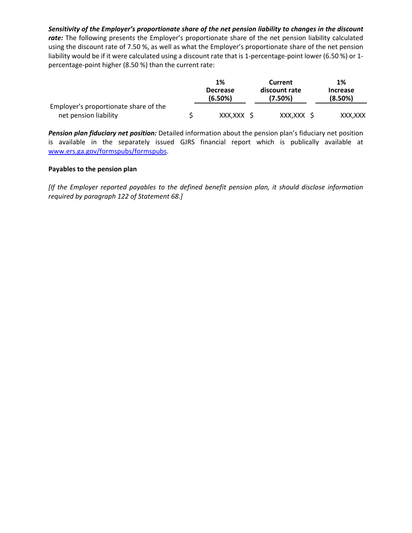*Sensitivity of the Employer's proportionate share of the net pension liability to changes in the discount* rate: The following presents the Employer's proportionate share of the net pension liability calculated using the discount rate of 7.50 %, as well as what the Employer's proportionate share of the net pension liability would be if it were calculated using a discount rate that is 1‐percentage‐point lower (6.50 %) or 1‐ percentage‐point higher (8.50 %) than the current rate:

|                                       | 1%                         | Current                  | 1%                         |
|---------------------------------------|----------------------------|--------------------------|----------------------------|
|                                       | <b>Decrease</b><br>(6.50%) | discount rate<br>(7.50%) | <b>Increase</b><br>(8.50%) |
| Employer's proportionate share of the |                            |                          |                            |
| net pension liability                 | XXX.XXX S                  | XXX,XXX \$               | XXX.XXX                    |

*Pension plan fiduciary net position:* Detailed information about the pension plan's fiduciary net position is available in the separately issued GJRS financial report which is publically available at www.ers.ga.gov/formspubs/formspubs.

## **Payables to the pension plan**

*[If the Employer reported payables to the defined benefit pension plan, it should disclose information required by paragraph 122 of Statement 68.]*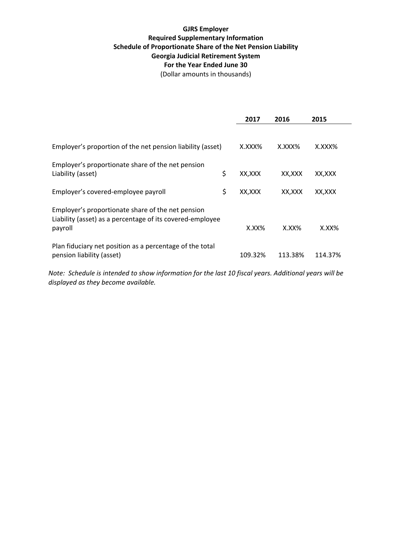# **GJRS Employer Required Supplementary Information Schedule of Proportionate Share of the Net Pension Liability Georgia Judicial Retirement System For the Year Ended June 30**

(Dollar amounts in thousands)

|                                                                                                                           | 2017         | 2016     | 2015     |
|---------------------------------------------------------------------------------------------------------------------------|--------------|----------|----------|
|                                                                                                                           |              |          |          |
| Employer's proportion of the net pension liability (asset)                                                                | X.XXX%       | X.XXX%   | X.XXX%   |
| Employer's proportionate share of the net pension<br>Liability (asset)                                                    | \$<br>XX,XXX | XX,XXX   | XX,XXX   |
| Employer's covered-employee payroll                                                                                       | \$<br>XX.XXX | XX,XXX   | XX.XXX   |
| Employer's proportionate share of the net pension<br>Liability (asset) as a percentage of its covered-employee<br>payroll | $X.XX\%$     | $X.XX\%$ | $X.XX\%$ |
| Plan fiduciary net position as a percentage of the total<br>pension liability (asset)                                     | 109.32%      | 113.38%  | 114.37%  |

Note: Schedule is intended to show information for the last 10 fiscal years. Additional years will be *displayed as they become available.*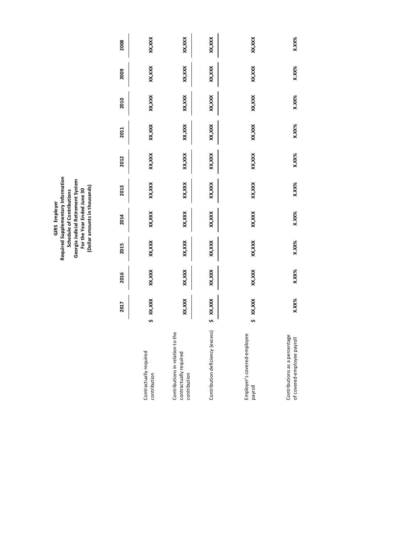GJRS Employer<br>Required Supplementary Information<br>Schedule of Contributions<br>Georgia Judicial Retirement System<br>For the Year Ended June 30<br>(Dollar amounts in thousands) **Required Supplementary Information Georgia Judicial Retirement System (Dollar amounts in thousands) For the Year Ended June 30 Schedule of Contributions GJRS Employer**

|                                                                            |   | 2017     | 2016   | 2015   | 2014     | 2013     | 2012     | 2011   | 2010   | 2009    | 2008    |
|----------------------------------------------------------------------------|---|----------|--------|--------|----------|----------|----------|--------|--------|---------|---------|
| Contractually required<br>contribution                                     | s | xxx,xxx  | XX,XXX | XX,XXX | XX, XXX  | XX, XXX  | XX, XXX  | XX,XXX | XX,XXX | XX, XXX | XX, XXX |
| Contributions in relation to the<br>contractually required<br>contribution |   | XX, XXX  | XX,XXX | XX,XXX | XX, XXX  | XX, XXX  | XX,XXX   | XX,XXX | XX,XXX | XX, XXX | XX, XXX |
| Contribution deficiency (excess)                                           |   | XX, XXX  | XX,XXX | XX,XXX | XX, XXX  | XXX, XXX | XX,XXX   | XX,XXX | XX,XXX | XX, XXX | XX, XXX |
| Employer's covered-employee<br>payroll                                     |   | XX, XXX  | XX,XXX | XX,XXX | XX, XXX  | XX, XXX  | XX, XXX  | XX,XXX | XX,XXX | XX, XXX | xxx,xxx |
| Contributions as a percentage<br>of covered-employee payroll               |   | $X.XX\%$ | X.XX%  | X.XX%  | $X.XX\%$ | X.XX%    | $X.XX\%$ | X.XX%  | X.XX%  | X.XX%   | X.XX%   |